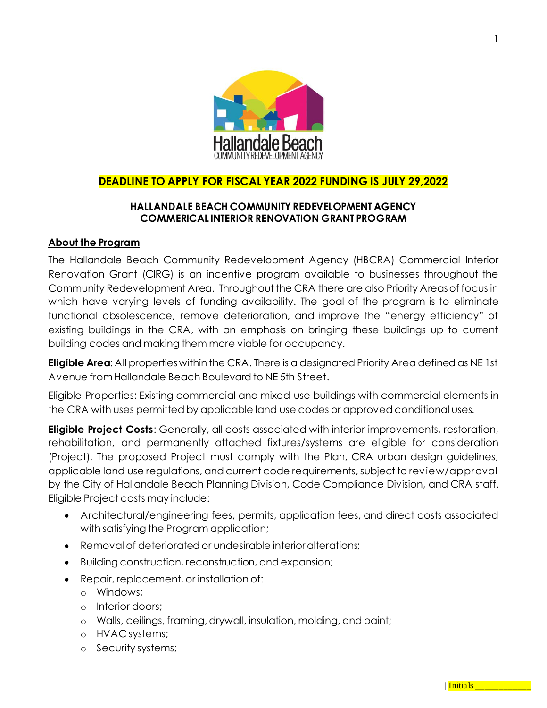

# **DEADLINE TO APPLY FOR FISCAL YEAR 2022 FUNDING IS JULY 29,2022**

### **HALLANDALE BEACH COMMUNITY REDEVELOPMENT AGENCY COMMERICAL INTERIOR RENOVATION GRANT PROGRAM**

#### **About the Program**

The Hallandale Beach Community Redevelopment Agency (HBCRA) Commercial Interior Renovation Grant (CIRG) is an incentive program available to businesses throughout the Community Redevelopment Area. Throughout the CRA there are also Priority Areas of focus in which have varying levels of funding availability. The goal of the program is to eliminate functional obsolescence, remove deterioration, and improve the "energy efficiency" of existing buildings in the CRA, with an emphasis on bringing these buildings up to current building codes and making them more viable for occupancy.

**Eligible Area**: All properties within the CRA. There is a designated Priority Area defined as NE 1st Avenue from Hallandale Beach Boulevard to NE 5th Street.

Eligible Properties: Existing commercial and mixed-use buildings with commercial elements in the CRA with uses permitted by applicable land use codes or approved conditional uses.

**Eligible Project Costs**: Generally, all costs associated with interior improvements, restoration, rehabilitation, and permanently attached fixtures/systems are eligible for consideration (Project). The proposed Project must comply with the Plan, CRA urban design guidelines, applicable land use regulations, and current code requirements, subject to review/approval by the City of Hallandale Beach Planning Division, Code Compliance Division, and CRA staff. Eligible Project costs may include:

- Architectural/engineering fees, permits, application fees, and direct costs associated with satisfying the Program application;
- Removal of deteriorated or undesirable interior alterations:
- Building construction, reconstruction, and expansion;
- Repair, replacement, or installation of:
	- o Windows;
	- o Interior doors;
	- o Walls, ceilings, framing, drywall, insulation, molding, and paint;
	- o HVAC systems;
	- o Security systems;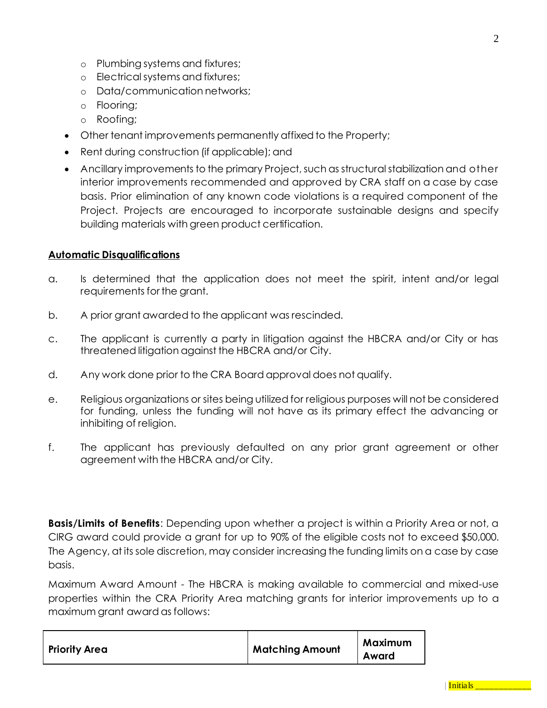- o Plumbing systems and fixtures;
- o Electrical systems and fixtures;
- o Data/communication networks;
- o Flooring;
- o Roofing;
- Other tenant improvements permanently affixed to the Property;
- Rent during construction (if applicable); and
- Ancillary improvements to the primary Project, such as structural stabilization and other interior improvements recommended and approved by CRA staff on a case by case basis. Prior elimination of any known code violations is a required component of the Project. Projects are encouraged to incorporate sustainable designs and specify building materials with green product certification.

#### **Automatic Disqualifications**

- a. Is determined that the application does not meet the spirit, intent and/or legal requirements for the grant.
- b. A prior grant awarded to the applicant was rescinded.
- c. The applicant is currently a party in litigation against the HBCRA and/or City or has threatened litigation against the HBCRA and/or City.
- d. Any work done prior to the CRA Board approval does not qualify.
- e. Religious organizations or sites being utilized for religious purposes will not be considered for funding, unless the funding will not have as its primary effect the advancing or inhibiting of religion.
- f. The applicant has previously defaulted on any prior grant agreement or other agreement with the HBCRA and/or City.

**Basis/Limits of Benefits**: Depending upon whether a project is within a Priority Area or not, a CIRG award could provide a grant for up to 90% of the eligible costs not to exceed \$50,000. The Agency, at its sole discretion, may consider increasing the funding limits on a case by case basis.

Maximum Award Amount - The HBCRA is making available to commercial and mixed-use properties within the CRA Priority Area matching grants for interior improvements up to a maximum grant award as follows:

| <b>Priority Area</b> | <b>Matching Amount</b> | Maximum<br>Award |
|----------------------|------------------------|------------------|
|----------------------|------------------------|------------------|

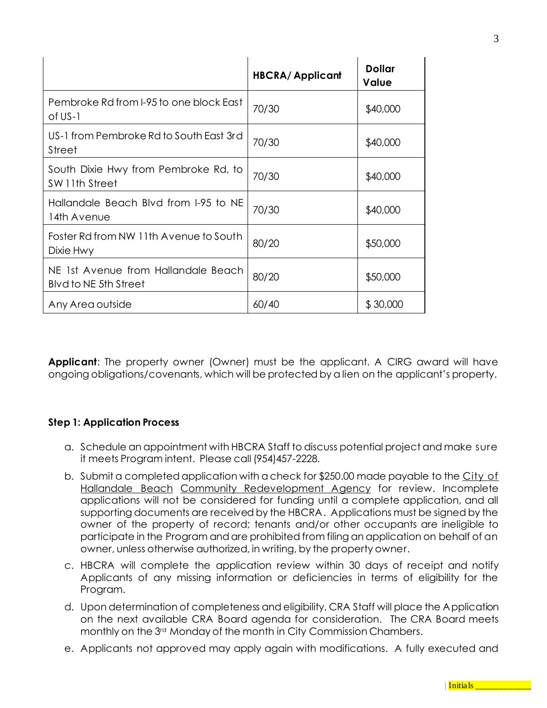|                                                              | <b>HBCRA/Applicant</b> | <b>Dollar</b><br>Value |
|--------------------------------------------------------------|------------------------|------------------------|
| Pembroke Rd from I-95 to one block East<br>of US-1           | 70/30                  | \$40,000               |
| US-1 from Pembroke Rd to South East 3rd<br><b>Street</b>     | 70/30                  | \$40,000               |
| South Dixie Hwy from Pembroke Rd, to<br>SW 11th Street       | 70/30                  | \$40,000               |
| Hallandale Beach Blvd from I-95 to NE<br>14th Avenue         | 70/30                  | \$40,000               |
| Foster Rd from NW 11th Avenue to South<br>Dixie Hwy          | 80/20                  | \$50,000               |
| NE 1st Avenue from Hallandale Beach<br>Blyd to NE 5th Street | 80/20                  | \$50,000               |
| Any Area outside                                             | 60/40                  | \$30,000               |

**Applicant**: The property owner (Owner) must be the applicant. A CIRG award will have ongoing obligations/covenants, which will be protected by a lien on the applicant's property.

### **Step 1: Application Process**

- a. Schedule an appointment with HBCRA Staff to discuss potential project and make sure it meets Program intent. Please call (954)457-2228.
- b. Submit a completed application with a check for \$250.00 made payable to the City of Hallandale Beach Community Redevelopment Agency for review. Incomplete applications will not be considered for funding until a complete application, and all supporting documents are received by the HBCRA. Applications must be signed by the owner of the property of record; tenants and/or other occupants are ineligible to participate in the Program and are prohibited from filing an application on behalf of an owner, unless otherwise authorized, in writing, by the property owner.
- c. HBCRA will complete the application review within 30 days of receipt and notify Applicants of any missing information or deficiencies in terms of eligibility for the Program.
- d. Upon determination of completeness and eligibility, CRA Staff will place the Application on the next available CRA Board agenda for consideration. The CRA Board meets monthly on the 3rd Monday of the month in City Commission Chambers.
- e. Applicants not approved may apply again with modifications. A fully executed and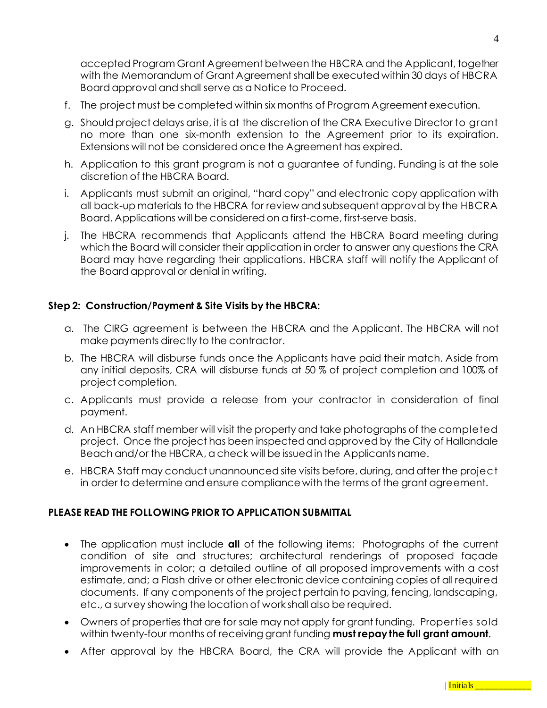accepted Program Grant Agreement between the HBCRA and the Applicant, together with the Memorandum of Grant Agreement shall be executed within 30 days of HBCRA Board approval and shall serve as a Notice to Proceed.

- f. The project must be completed within six months of Program Agreement execution.
- g. Should project delays arise, it is at the discretion of the CRA Executive Director to grant no more than one six-month extension to the Agreement prior to its expiration. Extensions will not be considered once the Agreement has expired.
- h. Application to this grant program is not a guarantee of funding. Funding is at the sole discretion of the HBCRA Board.
- i. Applicants must submit an original, "hard copy" and electronic copy application with all back-up materials to the HBCRA for review and subsequent approval by the HBCRA Board. Applications will be considered on a first-come, first-serve basis.
- j. The HBCRA recommends that Applicants attend the HBCRA Board meeting during which the Board will consider their application in order to answer any questions the CRA Board may have regarding their applications. HBCRA staff will notify the Applicant of the Board approval or denial in writing.

### **Step 2: Construction/Payment & Site Visits by the HBCRA:**

- a. The CIRG agreement is between the HBCRA and the Applicant. The HBCRA will not make payments directly to the contractor.
- b. The HBCRA will disburse funds once the Applicants have paid their match. Aside from any initial deposits, CRA will disburse funds at 50 % of project completion and 100% of project completion.
- c. Applicants must provide a release from your contractor in consideration of final payment.
- d. An HBCRA staff member will visit the property and take photographs of the completed project. Once the project has been inspected and approved by the City of Hallandale Beach and/or the HBCRA, a check will be issued in the Applicants name.
- e. HBCRA Staff may conduct unannounced site visits before, during, and after the project in order to determine and ensure compliance with the terms of the grant agreement.

## **PLEASE READ THE FOLLOWING PRIOR TO APPLICATION SUBMITTAL**

- The application must include **all** of the following items: Photographs of the current condition of site and structures; architectural renderings of proposed façade improvements in color; a detailed outline of all proposed improvements with a cost estimate, and; a Flash drive or other electronic device containing copies of all required documents. If any components of the project pertain to paving, fencing, landscaping, etc., a survey showing the location of work shall also be required.
- Owners of properties that are for sale may not apply for grant funding. Properties sold within twenty-four months of receiving grant funding **must repay the full grant amount**.
- After approval by the HBCRA Board, the CRA will provide the Applicant with an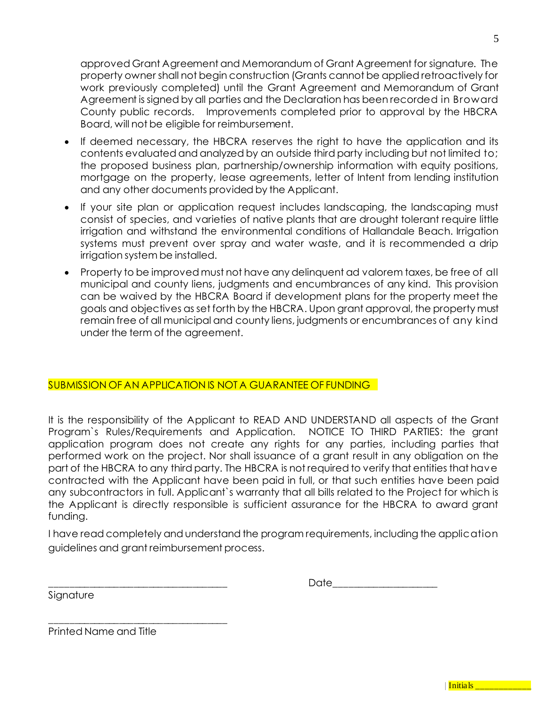approved Grant Agreement and Memorandum of Grant Agreement for signature. The property owner shall not begin construction (Grants cannot be applied retroactively for work previously completed) until the Grant Agreement and Memorandum of Grant Agreement is signed by all parties and the Declaration has been recorded in Broward County public records. Improvements completed prior to approval by the HBCRA Board, will not be eligible for reimbursement.

- If deemed necessary, the HBCRA reserves the right to have the application and its contents evaluated and analyzed by an outside third party including but not limited to; the proposed business plan, partnership/ownership information with equity positions, mortgage on the property, lease agreements, letter of Intent from lending institution and any other documents provided by the Applicant.
- If your site plan or application request includes landscaping, the landscaping must consist of species, and varieties of native plants that are drought tolerant require little irrigation and withstand the environmental conditions of Hallandale Beach. Irrigation systems must prevent over spray and water waste, and it is recommended a drip irrigation system be installed.
- Property to be improved must not have any delinquent ad valorem taxes, be free of all municipal and county liens, judgments and encumbrances of any kind. This provision can be waived by the HBCRA Board if development plans for the property meet the goals and objectives as set forth by the HBCRA. Upon grant approval, the property must remain free of all municipal and county liens, judgments or encumbrances of any kind under the term of the agreement.

### SUBMISSION OF AN APPLICATION IS NOT A GUARANTEE OF FUNDING

It is the responsibility of the Applicant to READ AND UNDERSTAND all aspects of the Grant Program`s Rules/Requirements and Application. NOTICE TO THIRD PARTIES: the grant application program does not create any rights for any parties, including parties that performed work on the project. Nor shall issuance of a grant result in any obligation on the part of the HBCRA to any third party. The HBCRA is not required to verify that entities that have contracted with the Applicant have been paid in full, or that such entities have been paid any subcontractors in full. Applicant`s warranty that all bills related to the Project for which is the Applicant is directly responsible is sufficient assurance for the HBCRA to award grant funding.

I have read completely and understand the program requirements, including the application guidelines and grant reimbursement process.

Signature

|  | -- |
|--|----|
|--|----|

Printed Name and Title

\_\_\_\_\_\_\_\_\_\_\_\_\_\_\_\_\_\_\_\_\_\_\_\_\_\_\_\_\_\_\_\_\_\_\_\_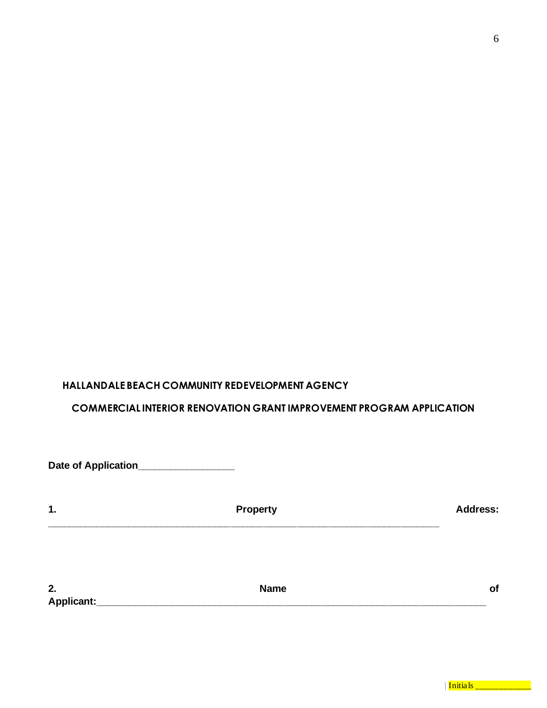### **HALLANDALE BEACH COMMUNITY REDEVELOPMENT AGENCY**

## **COMMERCIAL INTERIOR RENOVATION GRANT IMPROVEMENT PROGRAM APPLICATION**

| Date of Application_ |                 |                 |
|----------------------|-----------------|-----------------|
| 1.                   | <b>Property</b> | <b>Address:</b> |
| 2.                   | <b>Name</b>     | of              |
| Applicant:           |                 |                 |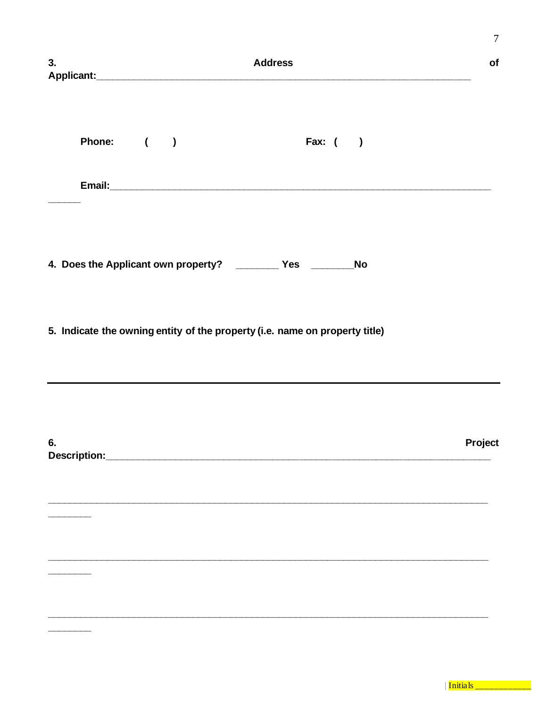| 3. | <b>Address</b>                                                              | $\overline{7}$<br>of |
|----|-----------------------------------------------------------------------------|----------------------|
|    | Phone: ( )<br><b>Fax:</b> ( )                                               |                      |
|    |                                                                             |                      |
|    | 4. Does the Applicant own property? __________ Yes __________ No            |                      |
|    | 5. Indicate the owning entity of the property (i.e. name on property title) |                      |
| 6. | Description: Description:                                                   | Project              |
|    |                                                                             |                      |
|    |                                                                             |                      |
|    |                                                                             |                      |

| Initials \_\_\_\_\_\_\_\_\_\_\_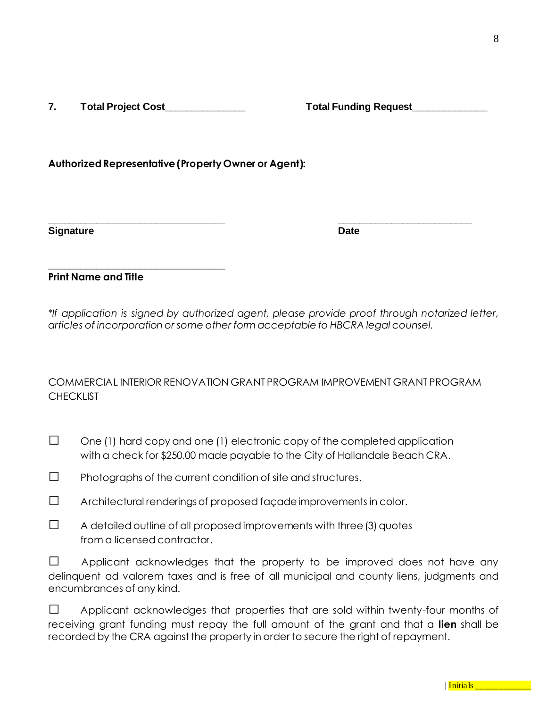**7. Total Project Cost\_\_\_\_\_\_\_\_\_\_\_\_\_\_\_ Total Funding Request\_\_\_\_\_\_\_\_\_\_\_\_\_\_**

**\_\_\_\_\_\_\_\_\_\_\_\_\_\_\_\_\_\_\_\_\_\_\_\_\_\_\_\_\_\_\_\_\_**

**Authorized Representative (Property Owner or Agent):**

**Signature Date**

**Print Name and Title**

*\*If application is signed by authorized agent, please provide proof through notarized letter, articles of incorporation or some other form acceptable to HBCRA legal counsel.*

**\_\_\_\_\_\_\_\_\_\_\_\_\_\_\_\_\_\_\_\_\_\_\_\_\_\_\_\_\_\_\_\_\_ \_\_\_\_\_\_\_\_\_\_\_\_\_\_\_\_\_\_\_\_\_\_\_\_\_**

### COMMERCIAL INTERIOR RENOVATION GRANT PROGRAM IMPROVEMENT GRANT PROGRAM **CHECKLIST**

| $\Box$ | One (1) hard copy and one (1) electronic copy of the completed application  |
|--------|-----------------------------------------------------------------------------|
|        | with a check for \$250.00 made payable to the City of Hallandale Beach CRA. |

 $\square$  Photographs of the current condition of site and structures.

 $\square$  Architectural renderings of proposed façade improvements in color.

| A detailed outline of all proposed improvements with three (3) quotes |
|-----------------------------------------------------------------------|
| from a licensed contractor.                                           |

 $\Box$  Applicant acknowledges that the property to be improved does not have any delinquent ad valorem taxes and is free of all municipal and county liens, judgments and encumbrances of any kind.

□ Applicant acknowledges that properties that are sold within twenty-four months of receiving grant funding must repay the full amount of the grant and that a **lien** shall be recorded by the CRA against the property in order to secure the right of repayment.